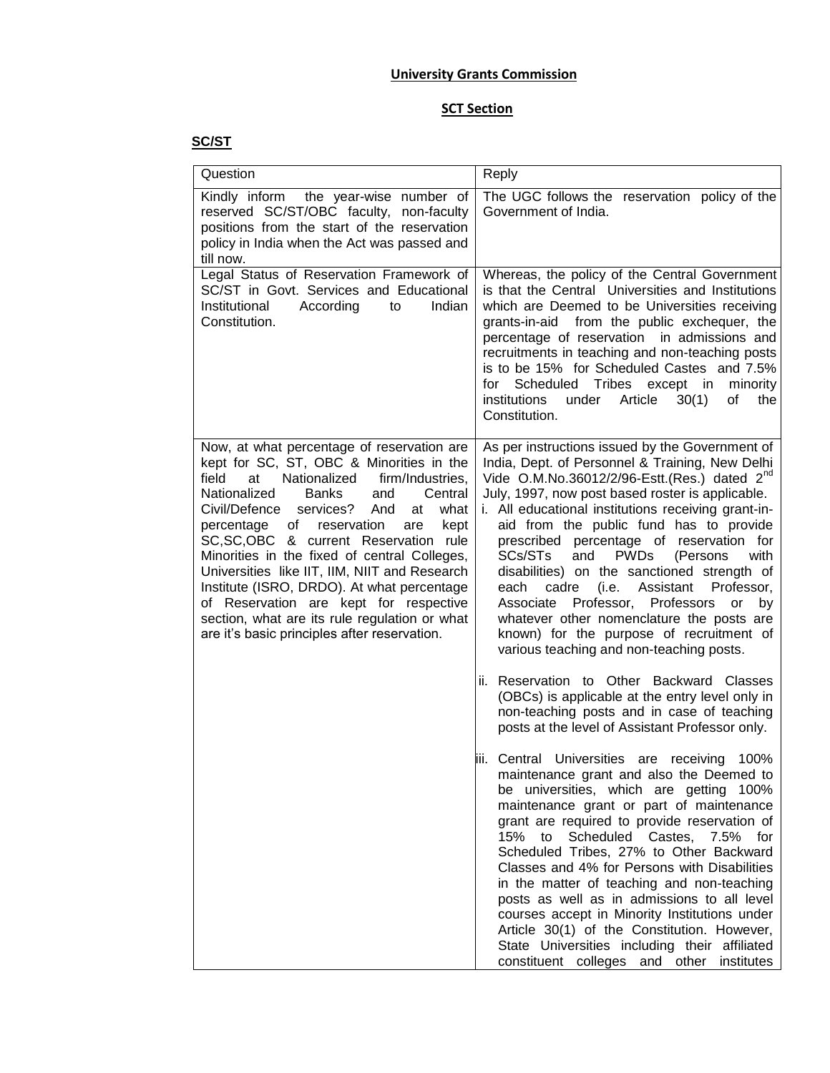## **University Grants Commission**

## **SCT Section**

## **SC/ST**

| Question                                                                                                                                                                                                                                                                                                                                                                                                                                                                                                                                                                                                                          | Reply                                                                                                                                                                                                                                                                                                                                                                                                                                                                                                                                                                                                                                                                                                                                                                                                                                                                                                                                                                                                                                                                                                                                                                                                                                                                                                                                                                                                                                                                                                                                                                                       |
|-----------------------------------------------------------------------------------------------------------------------------------------------------------------------------------------------------------------------------------------------------------------------------------------------------------------------------------------------------------------------------------------------------------------------------------------------------------------------------------------------------------------------------------------------------------------------------------------------------------------------------------|---------------------------------------------------------------------------------------------------------------------------------------------------------------------------------------------------------------------------------------------------------------------------------------------------------------------------------------------------------------------------------------------------------------------------------------------------------------------------------------------------------------------------------------------------------------------------------------------------------------------------------------------------------------------------------------------------------------------------------------------------------------------------------------------------------------------------------------------------------------------------------------------------------------------------------------------------------------------------------------------------------------------------------------------------------------------------------------------------------------------------------------------------------------------------------------------------------------------------------------------------------------------------------------------------------------------------------------------------------------------------------------------------------------------------------------------------------------------------------------------------------------------------------------------------------------------------------------------|
| Kindly inform<br>the year-wise number of<br>reserved SC/ST/OBC faculty, non-faculty<br>positions from the start of the reservation<br>policy in India when the Act was passed and<br>till now.                                                                                                                                                                                                                                                                                                                                                                                                                                    | The UGC follows the reservation policy of the<br>Government of India.                                                                                                                                                                                                                                                                                                                                                                                                                                                                                                                                                                                                                                                                                                                                                                                                                                                                                                                                                                                                                                                                                                                                                                                                                                                                                                                                                                                                                                                                                                                       |
| Legal Status of Reservation Framework of<br>SC/ST in Govt. Services and Educational<br>Institutional<br>According<br>Indian<br>to<br>Constitution.                                                                                                                                                                                                                                                                                                                                                                                                                                                                                | Whereas, the policy of the Central Government<br>is that the Central Universities and Institutions<br>which are Deemed to be Universities receiving<br>grants-in-aid from the public exchequer, the<br>percentage of reservation in admissions and<br>recruitments in teaching and non-teaching posts<br>is to be 15% for Scheduled Castes and 7.5%<br>for Scheduled Tribes except in<br>minority<br>institutions<br>under<br>Article<br>30(1)<br>of<br>the<br>Constitution.                                                                                                                                                                                                                                                                                                                                                                                                                                                                                                                                                                                                                                                                                                                                                                                                                                                                                                                                                                                                                                                                                                                |
| Now, at what percentage of reservation are<br>kept for SC, ST, OBC & Minorities in the<br>Nationalized<br>field<br>firm/Industries.<br>at<br>Nationalized<br><b>Banks</b><br>Central<br>and<br>Civil/Defence<br>services?<br>And<br>at<br>what<br>percentage<br>of reservation<br>are<br>kept<br>SC, SC, OBC & current Reservation rule<br>Minorities in the fixed of central Colleges,<br>Universities like IIT, IIM, NIIT and Research<br>Institute (ISRO, DRDO). At what percentage<br>of Reservation are kept for respective<br>section, what are its rule regulation or what<br>are it's basic principles after reservation. | As per instructions issued by the Government of<br>India, Dept. of Personnel & Training, New Delhi<br>Vide O.M.No.36012/2/96-Estt.(Res.) dated 2 <sup>nd</sup><br>July, 1997, now post based roster is applicable.<br>i. All educational institutions receiving grant-in-<br>aid from the public fund has to provide<br>prescribed percentage of reservation for<br><b>PWDs</b><br>SCs/STs<br>and<br>(Persons<br>with<br>disabilities) on the sanctioned strength of<br>Assistant<br>cadre<br>(i.e.<br>Professor,<br>each<br>Professor, Professors<br>Associate<br>by<br>or<br>whatever other nomenclature the posts are<br>known) for the purpose of recruitment of<br>various teaching and non-teaching posts.<br>ii. Reservation to Other Backward Classes<br>(OBCs) is applicable at the entry level only in<br>non-teaching posts and in case of teaching<br>posts at the level of Assistant Professor only.<br>iii. Central Universities are<br>100%<br>receiving<br>maintenance grant and also the Deemed to<br>be universities, which are getting 100%<br>maintenance grant or part of maintenance<br>grant are required to provide reservation of<br>Scheduled Castes, 7.5%<br>15% to<br>for<br>Scheduled Tribes, 27% to Other Backward<br>Classes and 4% for Persons with Disabilities<br>in the matter of teaching and non-teaching<br>posts as well as in admissions to all level<br>courses accept in Minority Institutions under<br>Article 30(1) of the Constitution. However,<br>State Universities including their affiliated<br>constituent colleges and other institutes |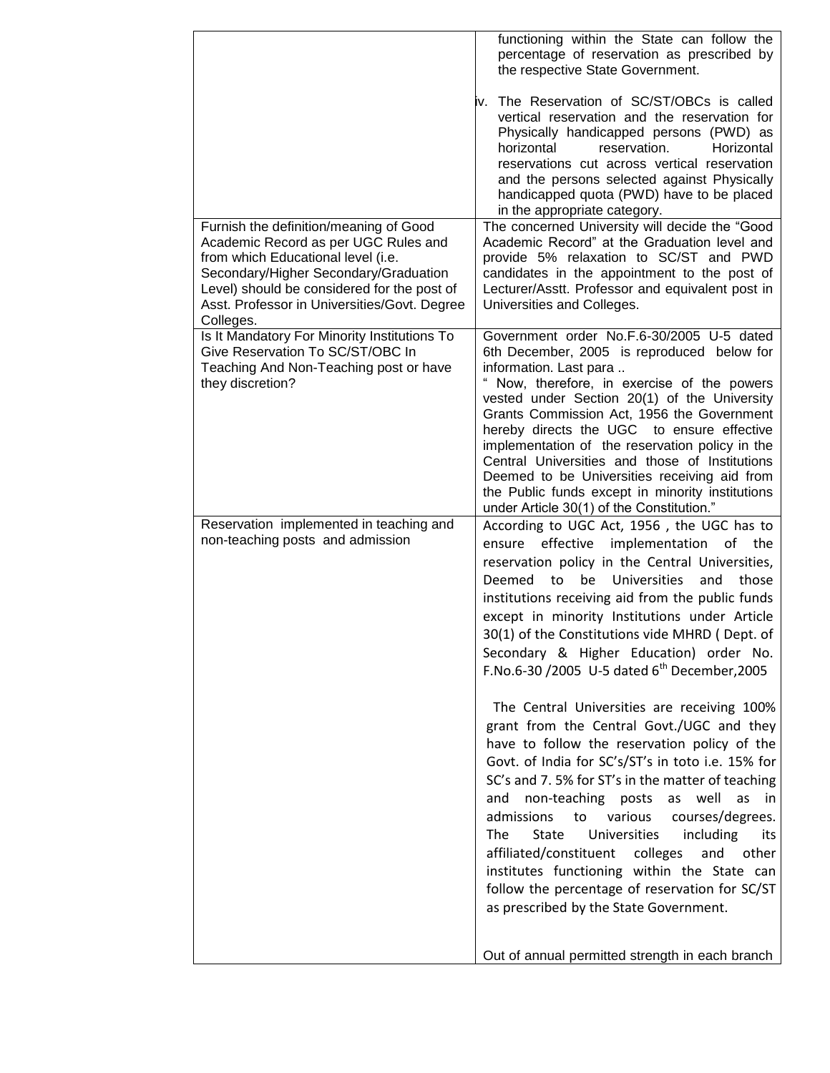|                                                                                                | functioning within the State can follow the<br>percentage of reservation as prescribed by<br>the respective State Government.                                                                                                                                                                                                                                  |
|------------------------------------------------------------------------------------------------|----------------------------------------------------------------------------------------------------------------------------------------------------------------------------------------------------------------------------------------------------------------------------------------------------------------------------------------------------------------|
|                                                                                                | iv. The Reservation of SC/ST/OBCs is called<br>vertical reservation and the reservation for<br>Physically handicapped persons (PWD) as<br>horizontal<br>reservation.<br>Horizontal<br>reservations cut across vertical reservation<br>and the persons selected against Physically<br>handicapped quota (PWD) have to be placed<br>in the appropriate category. |
| Furnish the definition/meaning of Good                                                         | The concerned University will decide the "Good                                                                                                                                                                                                                                                                                                                 |
| Academic Record as per UGC Rules and                                                           | Academic Record" at the Graduation level and                                                                                                                                                                                                                                                                                                                   |
| from which Educational level (i.e.                                                             | provide 5% relaxation to SC/ST and PWD                                                                                                                                                                                                                                                                                                                         |
| Secondary/Higher Secondary/Graduation                                                          | candidates in the appointment to the post of                                                                                                                                                                                                                                                                                                                   |
| Level) should be considered for the post of                                                    | Lecturer/Asstt. Professor and equivalent post in                                                                                                                                                                                                                                                                                                               |
| Asst. Professor in Universities/Govt. Degree                                                   | Universities and Colleges.                                                                                                                                                                                                                                                                                                                                     |
| Colleges.<br>Is It Mandatory For Minority Institutions To                                      | Government order No.F.6-30/2005 U-5 dated                                                                                                                                                                                                                                                                                                                      |
| Give Reservation To SC/ST/OBC In<br>Teaching And Non-Teaching post or have<br>they discretion? | 6th December, 2005 is reproduced below for<br>information. Last para<br>Now, therefore, in exercise of the powers<br>vested under Section 20(1) of the University<br>Grants Commission Act, 1956 the Government                                                                                                                                                |
|                                                                                                | hereby directs the UGC to ensure effective                                                                                                                                                                                                                                                                                                                     |
|                                                                                                | implementation of the reservation policy in the                                                                                                                                                                                                                                                                                                                |
|                                                                                                | Central Universities and those of Institutions                                                                                                                                                                                                                                                                                                                 |
|                                                                                                | Deemed to be Universities receiving aid from                                                                                                                                                                                                                                                                                                                   |
|                                                                                                | the Public funds except in minority institutions                                                                                                                                                                                                                                                                                                               |
|                                                                                                | under Article 30(1) of the Constitution."                                                                                                                                                                                                                                                                                                                      |
| Reservation implemented in teaching and<br>non-teaching posts and admission                    | According to UGC Act, 1956, the UGC has to<br>effective implementation of<br>the<br>ensure                                                                                                                                                                                                                                                                     |
|                                                                                                | reservation policy in the Central Universities,                                                                                                                                                                                                                                                                                                                |
|                                                                                                | to<br>be<br>Universities<br>Deemed<br>and<br>those                                                                                                                                                                                                                                                                                                             |
|                                                                                                | institutions receiving aid from the public funds                                                                                                                                                                                                                                                                                                               |
|                                                                                                | except in minority Institutions under Article<br>30(1) of the Constitutions vide MHRD (Dept. of                                                                                                                                                                                                                                                                |
|                                                                                                | Secondary & Higher Education) order No.                                                                                                                                                                                                                                                                                                                        |
|                                                                                                | F.No.6-30 /2005 U-5 dated $6^{th}$ December, 2005                                                                                                                                                                                                                                                                                                              |
|                                                                                                | The Central Universities are receiving 100%                                                                                                                                                                                                                                                                                                                    |
|                                                                                                | grant from the Central Govt./UGC and they                                                                                                                                                                                                                                                                                                                      |
|                                                                                                | have to follow the reservation policy of the                                                                                                                                                                                                                                                                                                                   |
|                                                                                                | Govt. of India for SC's/ST's in toto i.e. 15% for                                                                                                                                                                                                                                                                                                              |
|                                                                                                | SC's and 7.5% for ST's in the matter of teaching                                                                                                                                                                                                                                                                                                               |
|                                                                                                | non-teaching posts<br>well<br>as<br>as<br>and<br>in.                                                                                                                                                                                                                                                                                                           |
|                                                                                                | admissions<br>various<br>courses/degrees.<br>to                                                                                                                                                                                                                                                                                                                |
|                                                                                                | <b>State</b><br>Universities<br>including<br><b>The</b><br>its                                                                                                                                                                                                                                                                                                 |
|                                                                                                | affiliated/constituent<br>other<br>colleges<br>and                                                                                                                                                                                                                                                                                                             |
|                                                                                                | institutes functioning within the State can                                                                                                                                                                                                                                                                                                                    |
|                                                                                                | follow the percentage of reservation for SC/ST                                                                                                                                                                                                                                                                                                                 |
|                                                                                                | as prescribed by the State Government.                                                                                                                                                                                                                                                                                                                         |
|                                                                                                |                                                                                                                                                                                                                                                                                                                                                                |
|                                                                                                | Out of annual permitted strength in each branch                                                                                                                                                                                                                                                                                                                |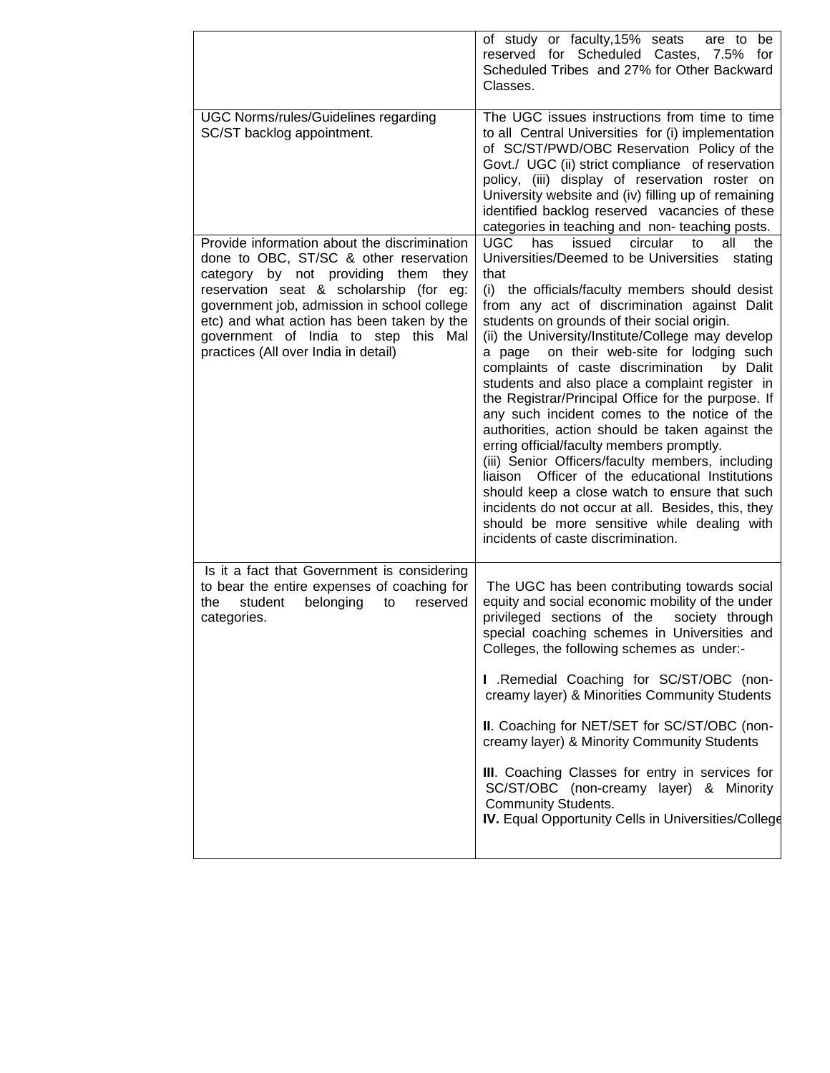|                                                                                                                                                                                                                                                                                                                                                          | of study or faculty, 15% seats<br>are to be<br>reserved for Scheduled Castes, 7.5% for<br>Scheduled Tribes and 27% for Other Backward<br>Classes.                                                                                                                                                                                                                                                                                                                                                                                                                                                                                                                                                                                                                                                                                                                                                                                                                                             |
|----------------------------------------------------------------------------------------------------------------------------------------------------------------------------------------------------------------------------------------------------------------------------------------------------------------------------------------------------------|-----------------------------------------------------------------------------------------------------------------------------------------------------------------------------------------------------------------------------------------------------------------------------------------------------------------------------------------------------------------------------------------------------------------------------------------------------------------------------------------------------------------------------------------------------------------------------------------------------------------------------------------------------------------------------------------------------------------------------------------------------------------------------------------------------------------------------------------------------------------------------------------------------------------------------------------------------------------------------------------------|
| <b>UGC Norms/rules/Guidelines regarding</b><br>SC/ST backlog appointment.                                                                                                                                                                                                                                                                                | The UGC issues instructions from time to time<br>to all Central Universities for (i) implementation<br>of SC/ST/PWD/OBC Reservation Policy of the<br>Govt./ UGC (ii) strict compliance of reservation<br>policy, (iii) display of reservation roster on<br>University website and (iv) filling up of remaining<br>identified backlog reserved vacancies of these<br>categories in teaching and non- teaching posts.                                                                                                                                                                                                                                                                                                                                                                                                                                                                                                                                                                           |
| Provide information about the discrimination<br>done to OBC, ST/SC & other reservation<br>category by not providing them<br>they<br>reservation seat & scholarship (for eg:<br>government job, admission in school college<br>etc) and what action has been taken by the<br>government of India to step this Mal<br>practices (All over India in detail) | <b>UGC</b><br>issued<br>circular<br>all<br>the<br>has<br>to<br>Universities/Deemed to be Universities<br>stating<br>that<br>(i) the officials/faculty members should desist<br>from any act of discrimination against Dalit<br>students on grounds of their social origin.<br>(ii) the University/Institute/College may develop<br>on their web-site for lodging such<br>a page<br>complaints of caste discrimination<br>by Dalit<br>students and also place a complaint register in<br>the Registrar/Principal Office for the purpose. If<br>any such incident comes to the notice of the<br>authorities, action should be taken against the<br>erring official/faculty members promptly.<br>(iii) Senior Officers/faculty members, including<br>liaison Officer of the educational Institutions<br>should keep a close watch to ensure that such<br>incidents do not occur at all. Besides, this, they<br>should be more sensitive while dealing with<br>incidents of caste discrimination. |
| Is it a fact that Government is considering<br>to bear the entire expenses of coaching for<br>student<br>belonging<br>the<br>to<br>reserved<br>categories.                                                                                                                                                                                               | The UGC has been contributing towards social<br>equity and social economic mobility of the under<br>privileged sections of the<br>society through<br>special coaching schemes in Universities and<br>Colleges, the following schemes as under:-<br>I .Remedial Coaching for SC/ST/OBC (non-<br>creamy layer) & Minorities Community Students<br>II. Coaching for NET/SET for SC/ST/OBC (non-<br>creamy layer) & Minority Community Students<br>III. Coaching Classes for entry in services for<br>SC/ST/OBC (non-creamy layer) & Minority<br><b>Community Students.</b><br>IV. Equal Opportunity Cells in Universities/College                                                                                                                                                                                                                                                                                                                                                                |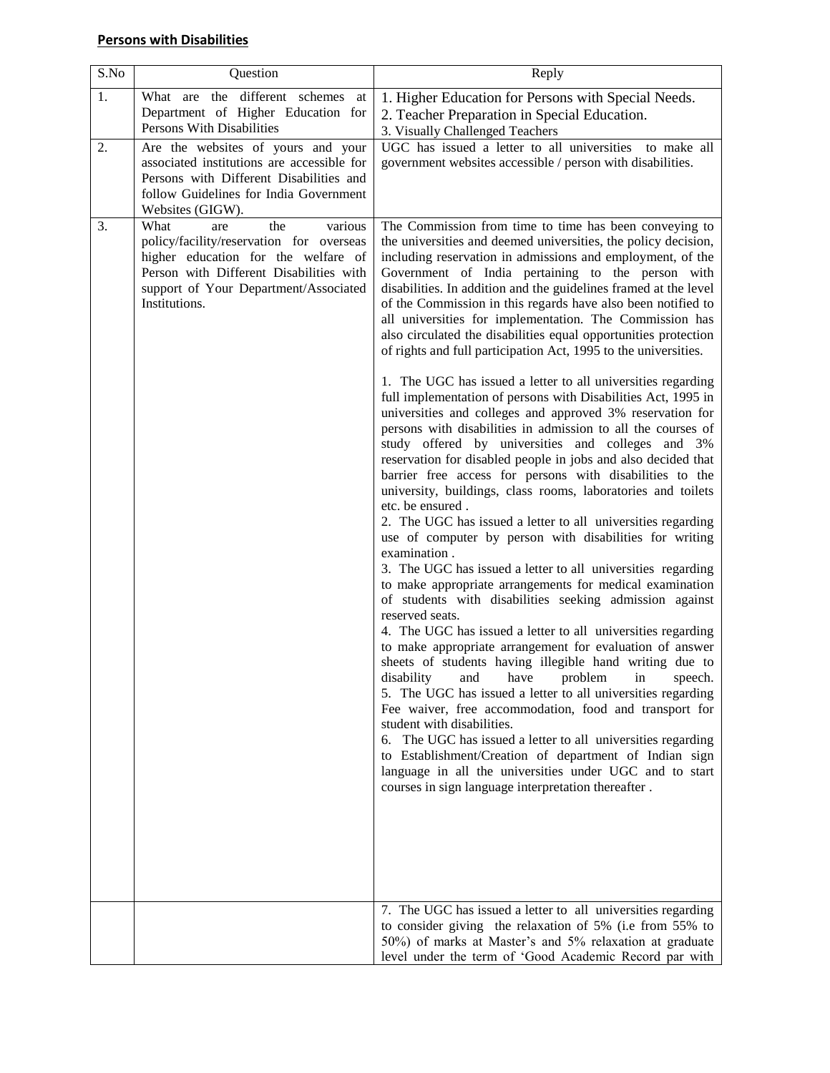| S.No | Question                                                                                                                                                                                                              | Reply                                                                                                                                                                                                                                                                                                                                                                                                                                                                                                                                                                                                                                                                                                                                                                                                                                                                                                                                                                                                                                                                                                                                                                                                                                                                                                                                                                                                                                                                                                                                        |
|------|-----------------------------------------------------------------------------------------------------------------------------------------------------------------------------------------------------------------------|----------------------------------------------------------------------------------------------------------------------------------------------------------------------------------------------------------------------------------------------------------------------------------------------------------------------------------------------------------------------------------------------------------------------------------------------------------------------------------------------------------------------------------------------------------------------------------------------------------------------------------------------------------------------------------------------------------------------------------------------------------------------------------------------------------------------------------------------------------------------------------------------------------------------------------------------------------------------------------------------------------------------------------------------------------------------------------------------------------------------------------------------------------------------------------------------------------------------------------------------------------------------------------------------------------------------------------------------------------------------------------------------------------------------------------------------------------------------------------------------------------------------------------------------|
| 1.   | What are the different schemes at<br>Department of Higher Education for<br>Persons With Disabilities                                                                                                                  | 1. Higher Education for Persons with Special Needs.<br>2. Teacher Preparation in Special Education.<br>3. Visually Challenged Teachers                                                                                                                                                                                                                                                                                                                                                                                                                                                                                                                                                                                                                                                                                                                                                                                                                                                                                                                                                                                                                                                                                                                                                                                                                                                                                                                                                                                                       |
| 2.   | Are the websites of yours and your<br>associated institutions are accessible for<br>Persons with Different Disabilities and<br>follow Guidelines for India Government<br>Websites (GIGW).                             | UGC has issued a letter to all universities to make all<br>government websites accessible / person with disabilities.                                                                                                                                                                                                                                                                                                                                                                                                                                                                                                                                                                                                                                                                                                                                                                                                                                                                                                                                                                                                                                                                                                                                                                                                                                                                                                                                                                                                                        |
| 3.   | What<br>the<br>various<br>are<br>policy/facility/reservation for overseas<br>higher education for the welfare of<br>Person with Different Disabilities with<br>support of Your Department/Associated<br>Institutions. | The Commission from time to time has been conveying to<br>the universities and deemed universities, the policy decision,<br>including reservation in admissions and employment, of the<br>Government of India pertaining to the person with<br>disabilities. In addition and the guidelines framed at the level<br>of the Commission in this regards have also been notified to<br>all universities for implementation. The Commission has<br>also circulated the disabilities equal opportunities protection<br>of rights and full participation Act, 1995 to the universities.                                                                                                                                                                                                                                                                                                                                                                                                                                                                                                                                                                                                                                                                                                                                                                                                                                                                                                                                                             |
|      |                                                                                                                                                                                                                       | 1. The UGC has issued a letter to all universities regarding<br>full implementation of persons with Disabilities Act, 1995 in<br>universities and colleges and approved 3% reservation for<br>persons with disabilities in admission to all the courses of<br>study offered by universities and colleges and 3%<br>reservation for disabled people in jobs and also decided that<br>barrier free access for persons with disabilities to the<br>university, buildings, class rooms, laboratories and toilets<br>etc. be ensured.<br>2. The UGC has issued a letter to all universities regarding<br>use of computer by person with disabilities for writing<br>examination.<br>3. The UGC has issued a letter to all universities regarding<br>to make appropriate arrangements for medical examination<br>of students with disabilities seeking admission against<br>reserved seats.<br>4. The UGC has issued a letter to all universities regarding<br>to make appropriate arrangement for evaluation of answer<br>sheets of students having illegible hand writing due to<br>disability<br>problem<br>and<br>have<br>in<br>speech.<br>5. The UGC has issued a letter to all universities regarding<br>Fee waiver, free accommodation, food and transport for<br>student with disabilities.<br>The UGC has issued a letter to all universities regarding<br>6.<br>to Establishment/Creation of department of Indian sign<br>language in all the universities under UGC and to start<br>courses in sign language interpretation thereafter. |
|      |                                                                                                                                                                                                                       | 7. The UGC has issued a letter to all universities regarding<br>to consider giving the relaxation of 5% (i.e from 55% to<br>50%) of marks at Master's and 5% relaxation at graduate<br>level under the term of 'Good Academic Record par with                                                                                                                                                                                                                                                                                                                                                                                                                                                                                                                                                                                                                                                                                                                                                                                                                                                                                                                                                                                                                                                                                                                                                                                                                                                                                                |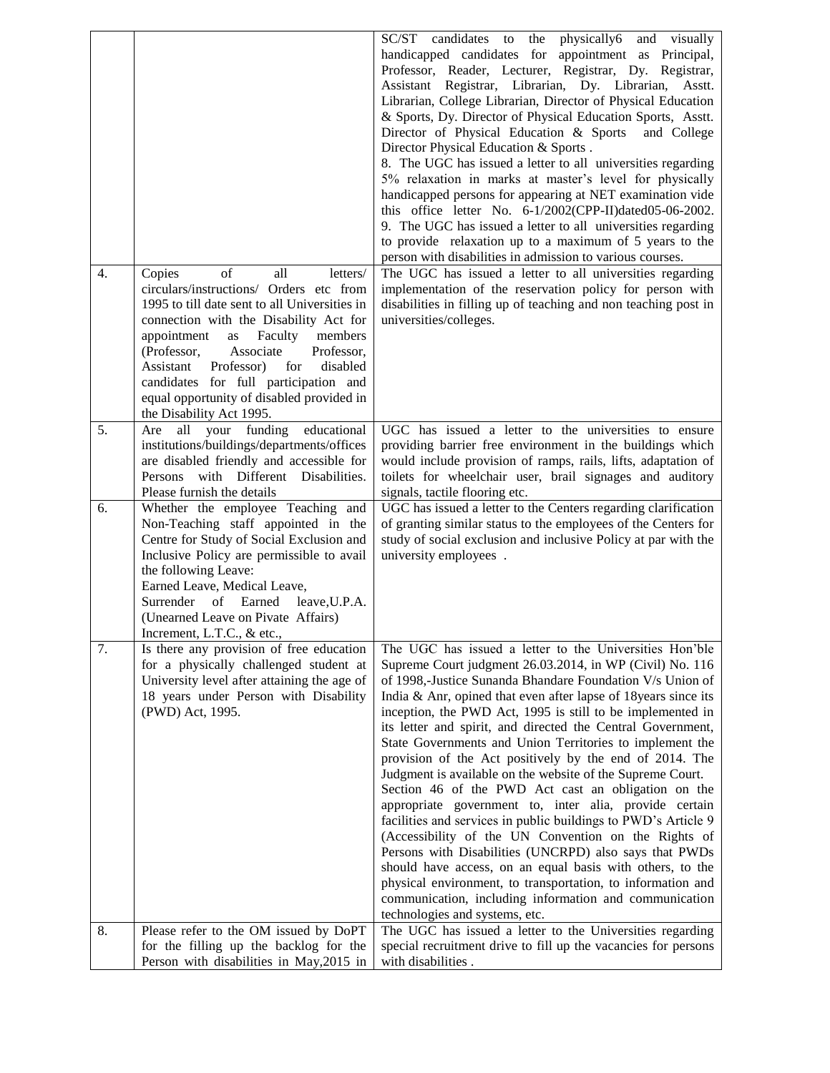|                  |                                                                                      | SC/ST<br>candidates to<br>the<br>physically6<br>visually<br>and                                                               |
|------------------|--------------------------------------------------------------------------------------|-------------------------------------------------------------------------------------------------------------------------------|
|                  |                                                                                      | handicapped candidates for appointment as Principal,                                                                          |
|                  |                                                                                      | Professor, Reader, Lecturer, Registrar, Dy. Registrar,                                                                        |
|                  |                                                                                      | Assistant Registrar, Librarian, Dy. Librarian, Asstt.                                                                         |
|                  |                                                                                      | Librarian, College Librarian, Director of Physical Education                                                                  |
|                  |                                                                                      | & Sports, Dy. Director of Physical Education Sports, Asstt.                                                                   |
|                  |                                                                                      | Director of Physical Education & Sports<br>and College                                                                        |
|                  |                                                                                      | Director Physical Education & Sports.                                                                                         |
|                  |                                                                                      | 8. The UGC has issued a letter to all universities regarding                                                                  |
|                  |                                                                                      | 5% relaxation in marks at master's level for physically                                                                       |
|                  |                                                                                      | handicapped persons for appearing at NET examination vide                                                                     |
|                  |                                                                                      | this office letter No. 6-1/2002(CPP-II)dated05-06-2002.                                                                       |
|                  |                                                                                      | 9. The UGC has issued a letter to all universities regarding                                                                  |
|                  |                                                                                      | to provide relaxation up to a maximum of 5 years to the                                                                       |
|                  |                                                                                      | person with disabilities in admission to various courses.                                                                     |
| $\overline{4}$ . | Copies<br>of<br>all<br>letters/<br>circulars/instructions/ Orders etc from           | The UGC has issued a letter to all universities regarding                                                                     |
|                  | 1995 to till date sent to all Universities in                                        | implementation of the reservation policy for person with<br>disabilities in filling up of teaching and non teaching post in   |
|                  | connection with the Disability Act for                                               | universities/colleges.                                                                                                        |
|                  | members<br>appointment<br>as<br>Faculty                                              |                                                                                                                               |
|                  | (Professor,<br>Associate<br>Professor,                                               |                                                                                                                               |
|                  | Professor)<br>Assistant<br>for<br>disabled                                           |                                                                                                                               |
|                  | candidates for full participation and                                                |                                                                                                                               |
|                  | equal opportunity of disabled provided in                                            |                                                                                                                               |
|                  | the Disability Act 1995.                                                             |                                                                                                                               |
| 5.               | all your funding<br>educational<br>Are                                               | UGC has issued a letter to the universities to ensure                                                                         |
|                  | institutions/buildings/departments/offices                                           | providing barrier free environment in the buildings which                                                                     |
|                  | are disabled friendly and accessible for                                             | would include provision of ramps, rails, lifts, adaptation of                                                                 |
|                  | Persons with Different Disabilities.                                                 | toilets for wheelchair user, brail signages and auditory                                                                      |
|                  | Please furnish the details                                                           | signals, tactile flooring etc.                                                                                                |
| 6.               | Whether the employee Teaching and                                                    | UGC has issued a letter to the Centers regarding clarification                                                                |
|                  | Non-Teaching staff appointed in the                                                  | of granting similar status to the employees of the Centers for                                                                |
|                  |                                                                                      |                                                                                                                               |
|                  | Centre for Study of Social Exclusion and                                             | study of social exclusion and inclusive Policy at par with the                                                                |
|                  | Inclusive Policy are permissible to avail                                            | university employees.                                                                                                         |
|                  | the following Leave:                                                                 |                                                                                                                               |
|                  | Earned Leave, Medical Leave,                                                         |                                                                                                                               |
|                  | Surrender<br>of Earned<br>leave, U.P.A.                                              |                                                                                                                               |
|                  | (Unearned Leave on Pivate Affairs)                                                   |                                                                                                                               |
|                  | Increment, L.T.C., $&$ etc.,                                                         |                                                                                                                               |
| 7.               | Is there any provision of free education                                             | The UGC has issued a letter to the Universities Hon'ble                                                                       |
|                  | for a physically challenged student at                                               | Supreme Court judgment 26.03.2014, in WP (Civil) No. 116                                                                      |
|                  | University level after attaining the age of<br>18 years under Person with Disability | of 1998,-Justice Sunanda Bhandare Foundation V/s Union of                                                                     |
|                  | (PWD) Act, 1995.                                                                     | India & Anr, opined that even after lapse of 18 years since its<br>inception, the PWD Act, 1995 is still to be implemented in |
|                  |                                                                                      | its letter and spirit, and directed the Central Government,                                                                   |
|                  |                                                                                      | State Governments and Union Territories to implement the                                                                      |
|                  |                                                                                      | provision of the Act positively by the end of 2014. The                                                                       |
|                  |                                                                                      | Judgment is available on the website of the Supreme Court.                                                                    |
|                  |                                                                                      | Section 46 of the PWD Act cast an obligation on the                                                                           |
|                  |                                                                                      | appropriate government to, inter alia, provide certain                                                                        |
|                  |                                                                                      | facilities and services in public buildings to PWD's Article 9                                                                |
|                  |                                                                                      | (Accessibility of the UN Convention on the Rights of                                                                          |
|                  |                                                                                      | Persons with Disabilities (UNCRPD) also says that PWDs                                                                        |
|                  |                                                                                      | should have access, on an equal basis with others, to the                                                                     |
|                  |                                                                                      | physical environment, to transportation, to information and                                                                   |
|                  |                                                                                      | communication, including information and communication                                                                        |
|                  |                                                                                      | technologies and systems, etc.                                                                                                |
| 8.               | Please refer to the OM issued by DoPT<br>for the filling up the backlog for the      | The UGC has issued a letter to the Universities regarding<br>special recruitment drive to fill up the vacancies for persons   |